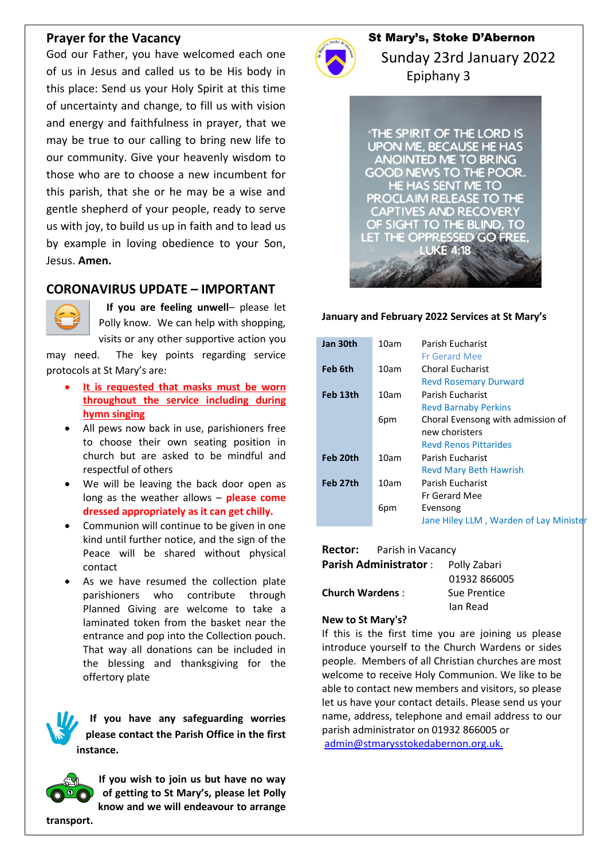## **Prayer for the Vacancy**

God our Father, you have welcomed each one of us in Jesus and called us to be His body in this place: Send us your Holy Spirit at this time of uncertainty and change, to fill us with vision and energy and faithfulness in prayer, that we may be true to our calling to bring new life to our community. Give your heavenly wisdom to those who are to choose a new incumbent for this parish, that she or he may be a wise and gentle shepherd of your people, ready to serve us with joy, to build us up in faith and to lead us by example in loving obedience to your Son, Jesus. **Amen.**

# **CORONAVIRUS UPDATE – IMPORTANT**



 **If you are feeling unwell**– please let Polly know. We can help with shopping, visits or any other supportive action you

may need. The key points regarding service protocols at St Mary's are:

- **It is requested that masks must be worn throughout the service including during hymn singing**
- All pews now back in use, parishioners free to choose their own seating position in church but are asked to be mindful and respectful of others
- We will be leaving the back door open as long as the weather allows – **please come dressed appropriately as it can get chilly.**
- Communion will continue to be given in one kind until further notice, and the sign of the Peace will be shared without physical contact
- As we have resumed the collection plate parishioners who contribute through Planned Giving are welcome to take a laminated token from the basket near the entrance and pop into the Collection pouch. That way all donations can be included in the blessing and thanksgiving for the offertory plate

**If you have any safeguarding worries please contact the Parish Office in the first instance.**



**If you wish to join us but have no way of getting to St Mary's, please let Polly know and we will endeavour to arrange** 



## St Mary's, Stoke D'Abernon

 Sunday 23rd January 2022 Epiphany 3

"THE SPIRIT OF THE LORD IS **UPON ME, BECAUSE HE HAS ANOINTED ME TO BRING** GOOD NEWS TO THE POOR. **HE HAS SENT ME TO** PROCLAIM RELEASE TO THE **CAPTIVES AND RECOVERY** OF SIGHT TO THE BLIND, TO LET THE OPPRESSED GO FREE. **LUKE 4:18** 

#### **January and February 2022 Services at St Mary's**

| Jan 30th | 10am | Parish Eucharist<br><b>Fr Gerard Mee</b>                |
|----------|------|---------------------------------------------------------|
| Feb 6th  | 10am | <b>Choral Eucharist</b><br><b>Revd Rosemary Durward</b> |
| Feb 13th | 10am | Parish Fucharist<br><b>Revd Barnaby Perkins</b>         |
|          | 6pm  | Choral Evensong with admission of<br>new choristers     |
|          |      | <b>Revd Renos Pittarides</b>                            |
| Feb 20th | 10am | Parish Fucharist                                        |
|          |      | <b>Revd Mary Beth Hawrish</b>                           |
| Feb 27th | 10am | Parish Fucharist                                        |
|          |      | <b>Fr Gerard Mee</b>                                    |
|          | 6pm  | Evensong                                                |
|          |      | Jane Hiley LLM, Warden of Lay Minister                  |

|                        | <b>Rector:</b> Parish in Vacancy |              |  |
|------------------------|----------------------------------|--------------|--|
|                        | <b>Parish Administrator:</b>     | Polly Zabari |  |
|                        |                                  | 01932 866005 |  |
| <b>Church Wardens:</b> |                                  | Sue Prentice |  |
|                        |                                  | lan Read     |  |

#### **New to St Mary's?**

If this is the first time you are joining us please introduce yourself to the Church Wardens or sides people. Members of all Christian churches are most welcome to receive Holy Communion. We like to be able to contact new members and visitors, so please let us have your contact details. Please send us your name, address, telephone and email address to our parish administrator on 01932 866005 or [admin@stmarysstokedabernon.org.uk.](mailto:admin@stmarysstokedabernon.org.uk)

**transport.**